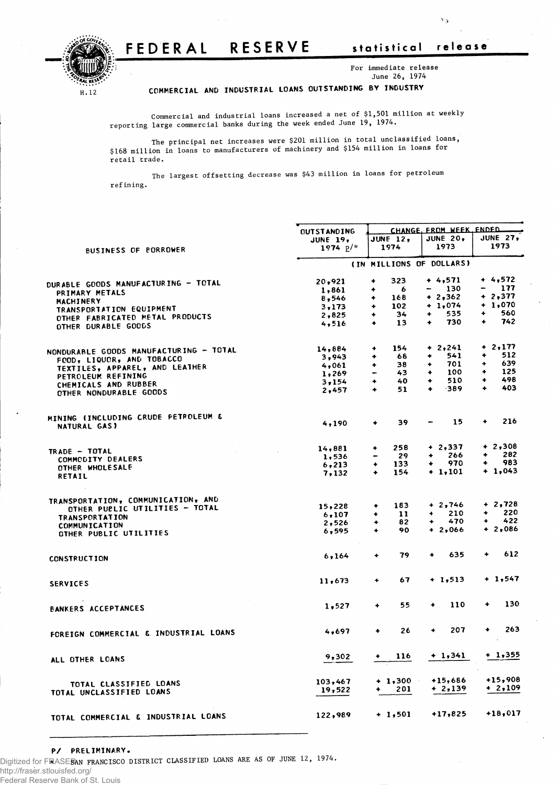## FEDERAL RESERVE statistical release



 $\mathbf{v}_k$ 



**For immediate release June 26, 1974**

**COMMERCIA L A ND INDUSTRIA L LOAN S OUTSTANDIN G B Y INDUSTR Y**

**Commercial and industrial loans increased a net of \$1,501 million at weekly reporting large commercial banks during the week ended June 19, 1974.**

**The principal net increases were \$201 million in total unclassified loans, \$168 million in loans to manufacturers of machinery and \$154 million in loans for retail trade.**

**The largest offsetting decrease was \$43 million in loans for petroleum refining.** 

|                                        | <b><i>CUTSTANDING</i></b> | CHANGE, FROM WEEK, ENDED           |                             |                         |  |  |  |  |
|----------------------------------------|---------------------------|------------------------------------|-----------------------------|-------------------------|--|--|--|--|
|                                        | <b>JUNE 19,</b>           | <b>JUNE 12,</b>                    | <b>JUNE 20,</b>             | <b>JUNE 27,</b>         |  |  |  |  |
|                                        | 1974 $p/*$                | 1974                               | 1973                        | 1973                    |  |  |  |  |
| <b>BUSINESS OF PORROWER</b>            |                           |                                    |                             |                         |  |  |  |  |
|                                        |                           | (IN MILLIONS OF DOLLARS)           |                             |                         |  |  |  |  |
|                                        | 20,921                    | 323<br>۰                           | $+4,571$                    | $+4,572$                |  |  |  |  |
| DURABLE GOODS MANUFACTURING - TOTAL    | 1,861                     | 6<br>٠                             | 130<br>$\qquad \qquad$      | 177<br>-                |  |  |  |  |
| PRIMARY METALS                         |                           |                                    | $+2,362$                    | $+2,377$                |  |  |  |  |
| MACHINERY                              | 8,546                     | 168<br>۰                           |                             |                         |  |  |  |  |
| TRANSPORTATION EQUIPMENT               | 3,173                     | 102<br>٠                           | $+ 1,074$                   | $+1,070$                |  |  |  |  |
| OTHER FABRICATED METAL PRODUCTS        | 2,825                     | 34<br>۰                            | 535<br>$\ddot{\phantom{1}}$ | 560<br>$\bullet$        |  |  |  |  |
| OTHER DURABLE GOODS                    | 4,516                     | 13<br>۰                            | 730<br>۰                    | 742<br>٠                |  |  |  |  |
|                                        |                           |                                    |                             |                         |  |  |  |  |
| NONDURABLE GOODS MANUFACTURING - TOTAL | 14,884                    | 154<br>۰                           | $+ 2,241$                   | $+2,177$                |  |  |  |  |
| FOOD, LIQUOR, AND TOBACCO              | 3,943                     | 68<br>۰                            | 541<br>۰                    | 512<br>۰                |  |  |  |  |
|                                        | 4,061                     | 38<br>۰                            | 701<br>٠                    | 639<br>۰                |  |  |  |  |
| TEXTILES, APPAREL, AND LEATHER         | 1,269                     | 43<br>$\qquad \qquad \blacksquare$ | 100<br>٠                    | 125<br>٠                |  |  |  |  |
| PETROLEUM REFINING                     |                           | 40<br>٠                            | 510<br>۰                    | 498<br>۰                |  |  |  |  |
| CHEMICALS AND RUBBER                   | $3 - 154$                 |                                    | $-389$<br>٠                 | 403<br>$\ddot{\bullet}$ |  |  |  |  |
| OTHER NONDURABLE GOODS                 | 2,457                     | 51<br>$\ddot{\bullet}$             |                             |                         |  |  |  |  |
|                                        |                           |                                    |                             |                         |  |  |  |  |
| MINING (INCLUDING CRUDE PETROLEUM &    | 4,190                     | 39<br>٠                            | 15                          | 216<br>٠                |  |  |  |  |
| NATURAL GAS)                           |                           |                                    |                             |                         |  |  |  |  |
|                                        | 14,881                    | 258<br>٠                           | $+2,337$                    | $+2,308$                |  |  |  |  |
| TRADE - TOTAL                          | 1,536                     | 29<br>$\qquad \qquad \blacksquare$ | 266<br>۰                    | 282<br>۰                |  |  |  |  |
| COMMODITY DEALERS                      | 6.213                     | $\ddotmark$<br>133                 | 970<br>۰                    | 983<br>٠                |  |  |  |  |
| OTHER WHOLESALE                        |                           | $\ddotmark$                        | + 1,101                     | $+1,043$                |  |  |  |  |
| RETAIL                                 | 7,132                     | 154                                |                             |                         |  |  |  |  |
|                                        |                           |                                    |                             |                         |  |  |  |  |
| TRANSPORTATION, COMMUNICATION, AND     |                           | ۰                                  | $+2,746$                    | $+2,728$                |  |  |  |  |
| OTHER PUBLIC UTILITIES - TOTAL         | 15,228                    | 183                                |                             | 220                     |  |  |  |  |
| <b>TRANSPORTATION</b>                  | 6,107                     | 11<br>٠                            | 210<br>٠                    | ۰                       |  |  |  |  |
| COMMUNICATION                          | 2,526                     | 82<br>۰                            | 470<br>٠                    | 422<br>$\ddotmark$      |  |  |  |  |
| OTHER PUBLIC UTILITIES                 | 6,595                     | 90<br>٠                            | $+2,066$                    | $+2,086$                |  |  |  |  |
|                                        |                           |                                    |                             |                         |  |  |  |  |
| <b>CONSTRUCTION</b>                    | 6,164                     | 79<br>$\ddotmark$                  | 635<br>٠                    | 612                     |  |  |  |  |
|                                        | 11,673                    | 67<br>٠                            | $+1,513$                    | $+ 1,547$               |  |  |  |  |
| <b>SERVICES</b>                        |                           |                                    |                             |                         |  |  |  |  |
|                                        | 1,527                     | 55<br>٠                            | 110<br>۰                    | 130<br>۰                |  |  |  |  |
| BANKERS ACCEPTANCES                    |                           |                                    |                             |                         |  |  |  |  |
| FOREIGN COMMERCIAL & INDUSTRIAL LOANS  | 4.697                     | 26<br>۰                            | 207<br>۰                    | 263<br>۰                |  |  |  |  |
|                                        |                           |                                    |                             |                         |  |  |  |  |
| ALL OTHER LOANS                        | 9,302                     | 116                                | $+ 1,341$                   | $+ 1,355$               |  |  |  |  |
|                                        |                           |                                    |                             |                         |  |  |  |  |
| TOTAL CLASSIFIED LOANS                 | 103,467                   | $+1,300$                           | $+15,686$                   | $+15,908$               |  |  |  |  |
| TOTAL UNCLASSIFIED LOANS               | 19,522                    | 201                                | $+2.139$                    | + 2,109                 |  |  |  |  |
|                                        |                           |                                    |                             | $+18,017$               |  |  |  |  |
| TOTAL COMMERCIAL & INDUSTRIAL LOANS    | 122,989                   | $+1,501$                           | $+17,825$                   |                         |  |  |  |  |

Digitized for FRASER **\* SAN FRANCISCO DISTRICT CLASSIFIED LOANS ARE AS OF JUNE 12, 1974.**

http://fraser.stlouisfed.org/ Federal Reserve Bank of St. Louis